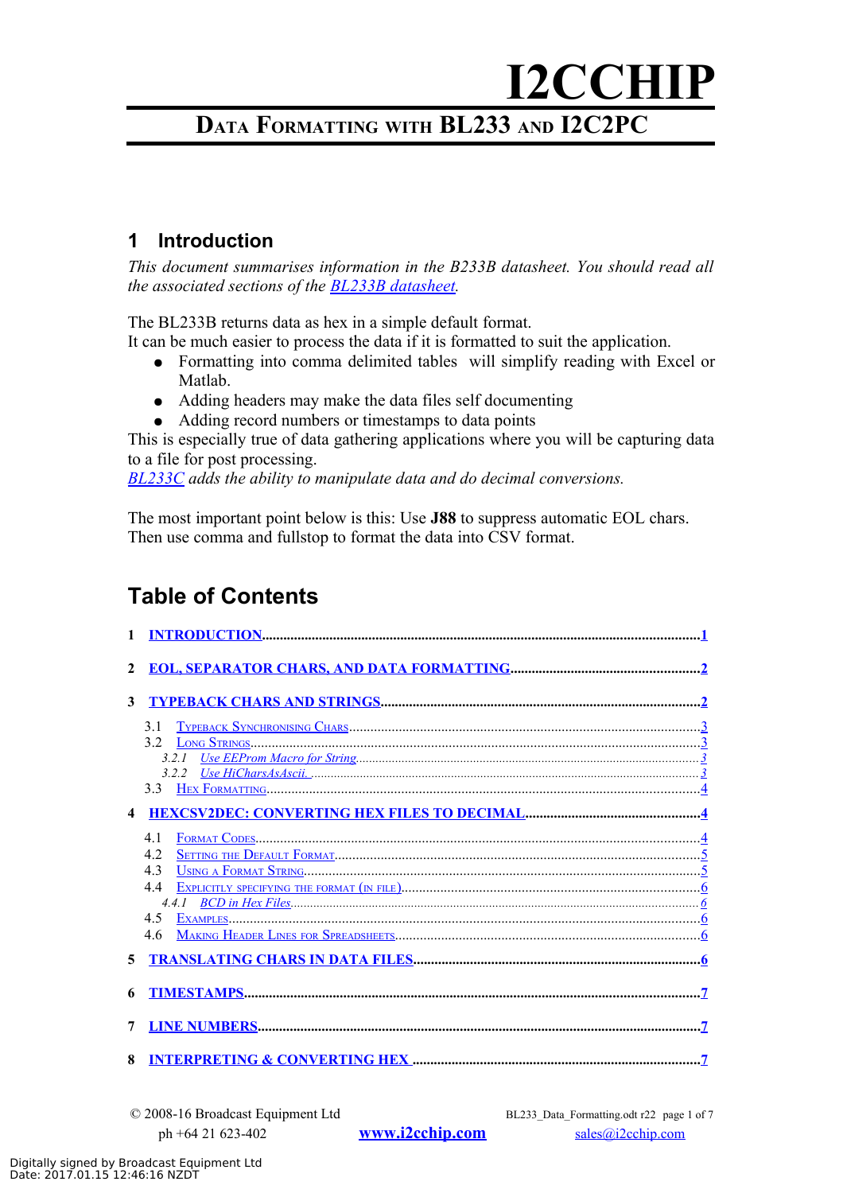# **I2CCHIP DATA FORMATTING WITH BL233 AND I2C2PC**

### <span id="page-0-0"></span>**1 Introduction**

*This document summarises information in the B233B datasheet. You should read all the associated sections of the [BL233B datasheet.](http://www.i2cchip.com/pdfs/bl233_b.pdf)* 

The BL233B returns data as hex in a simple default format.

It can be much easier to process the data if it is formatted to suit the application.

- Formatting into comma delimited tables will simplify reading with Excel or Matlab.
- Adding headers may make the data files self documenting
- Adding record numbers or timestamps to data points

This is especially true of data gathering applications where you will be capturing data to a file for post processing.

*[BL233C](http://www.i2cchip.com/pdfs/BL233C_New_Features.pdf) adds the ability to manipulate data and do decimal conversions.*

The most important point below is this: Use **J88** to suppress automatic EOL chars. Then use comma and fullstop to format the data into CSV format.

## **Table of Contents**

| 1                       |     |
|-------------------------|-----|
| $\mathbf{2}$            |     |
| 3                       |     |
|                         | 31  |
| $\overline{\mathbf{4}}$ |     |
|                         | 4.1 |
|                         | 42  |
|                         | 4.3 |
|                         | 4.4 |
|                         |     |
|                         |     |
|                         | 4.6 |
| 5.                      |     |
| 6                       |     |
| 7                       |     |
| 8                       |     |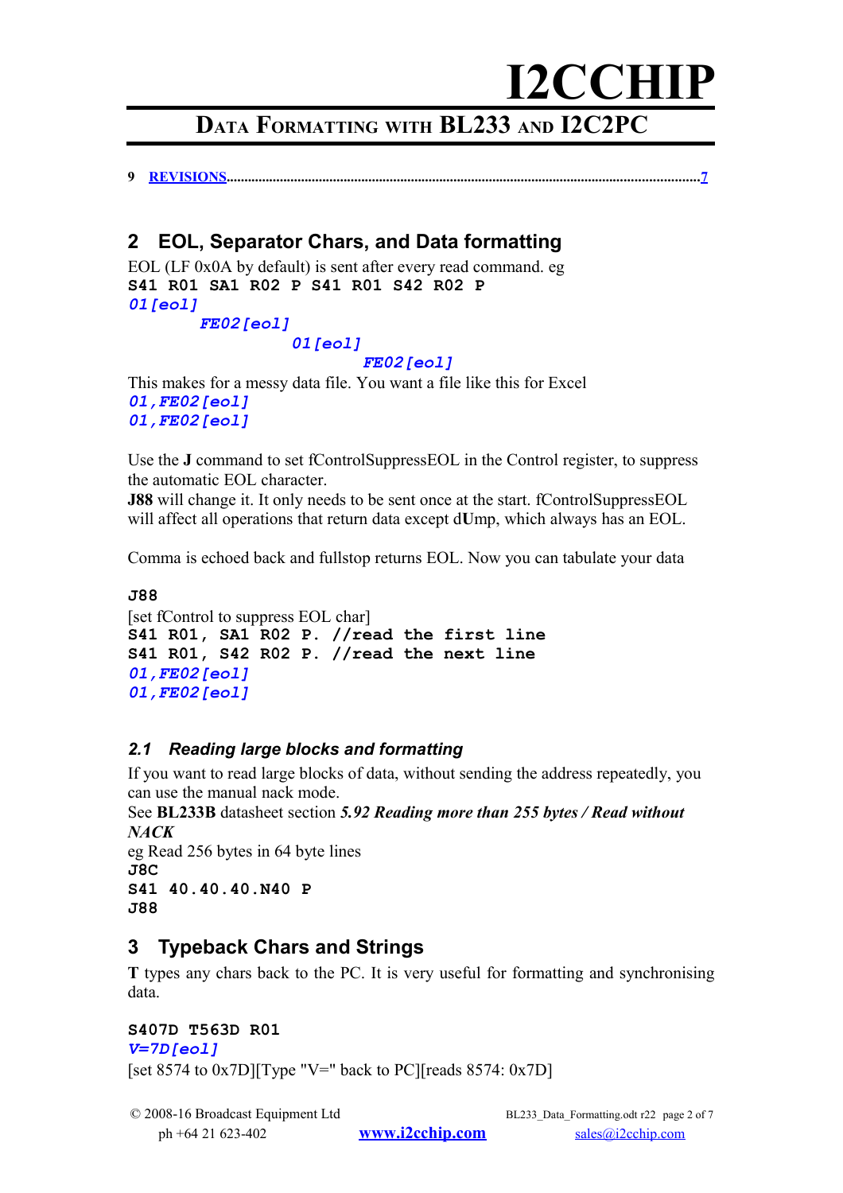## **DATA FORMATTING WITH BL233 AND I2C2PC**

**9 [REVISIONS.](#page-6-3)...................................................................................................................................[.7](#page-6-3)**

### <span id="page-1-1"></span>**2 EOL, Separator Chars, and Data formatting**

EOL (LF 0x0A by default) is sent after every read command. eg **S41 R01 SA1 R02 P S41 R01 S42 R02 P** *01[eol]*

#### *FE02[eol] 01[eol]*

#### *FE02[eol]*

This makes for a messy data file. You want a file like this for Excel *01,FE02[eol] 01,FE02[eol]*

Use the **J** command to set fControlSuppressEOL in the Control register, to suppress the automatic EOL character.

**J88** will change it. It only needs to be sent once at the start. fControlSuppressEOL will affect all operations that return data except d**U**mp, which always has an EOL.

Comma is echoed back and fullstop returns EOL. Now you can tabulate your data

```
J88 
[set fControl to suppress EOL char]
S41 R01, SA1 R02 P. //read the first line
S41 R01, S42 R02 P. //read the next line
01,FE02[eol]
01,FE02[eol]
```
#### *2.1 Reading large blocks and formatting*

If you want to read large blocks of data, without sending the address repeatedly, you can use the manual nack mode.

See **BL233B** datasheet section *5.92 Reading more than 255 bytes / Read without NACK*

eg Read 256 bytes in 64 byte lines **J8C S41 40.40.40.N40 P J88**

### <span id="page-1-0"></span>**3 Typeback Chars and Strings**

**T** types any chars back to the PC. It is very useful for formatting and synchronising data.

#### **S407D T563D R01**

*V=7D[eol]*

[set 8574 to  $0x7D$ ][Type "V=" back to PC][reads 8574:  $0x7D$ ]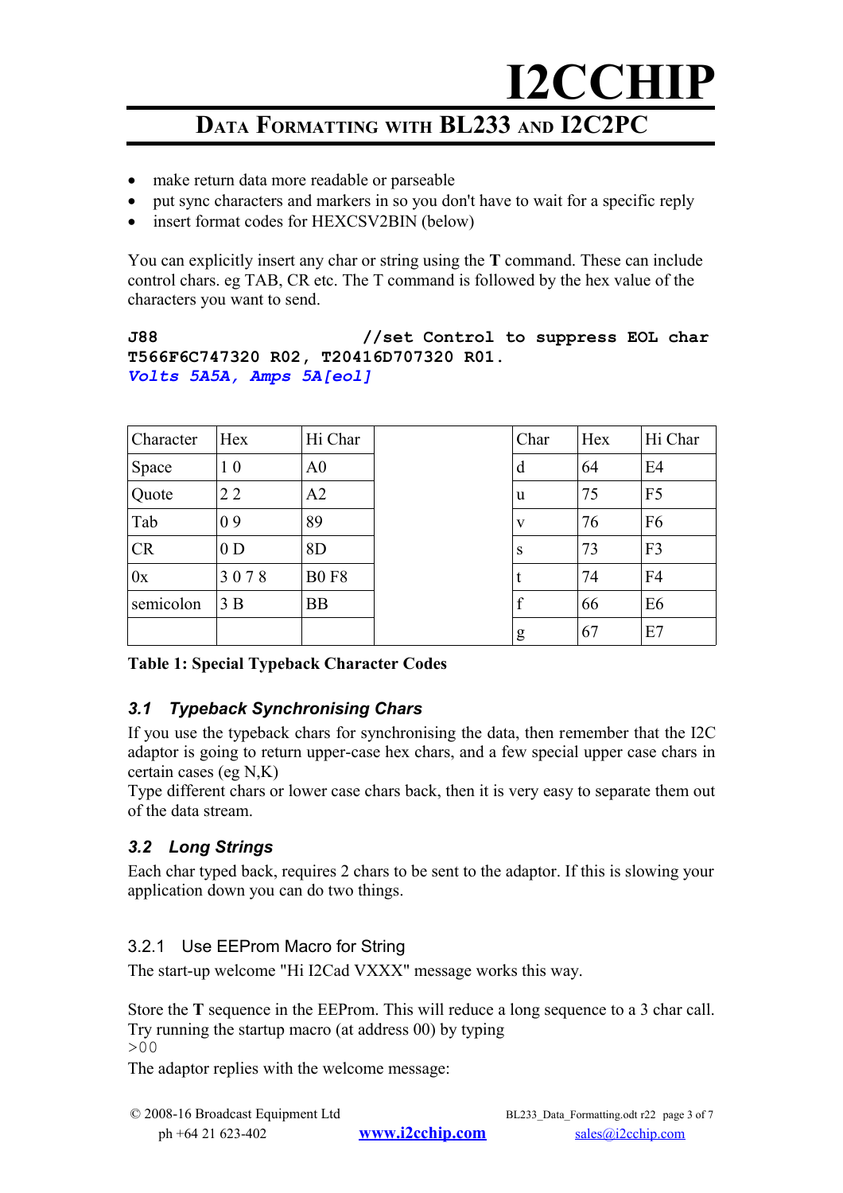## **DATA FORMATTING WITH BL233 AND I2C2PC**

- make return data more readable or parseable
- put sync characters and markers in so you don't have to wait for a specific reply
- insert format codes for HEXCSV2BIN (below)

You can explicitly insert any char or string using the **T** command. These can include control chars. eg TAB, CR etc. The T command is followed by the hex value of the characters you want to send.

#### **J88 //set Control to suppress EOL char T566F6C747320 R02, T20416D707320 R01.** *Volts 5A5A, Amps 5A[eol]*

| Character | Hex            | Hi Char        | Char | Hex | Hi Char        |
|-----------|----------------|----------------|------|-----|----------------|
| Space     | 1 <sub>0</sub> | A <sub>0</sub> | d    | 64  | E4             |
| Quote     | 22             | A2             | u    | 75  | F <sub>5</sub> |
| Tab       | 09             | 89             | V    | 76  | F <sub>6</sub> |
| <b>CR</b> | 0 <sub>D</sub> | 8 <sub>D</sub> | S    | 73  | F <sub>3</sub> |
| 0x        | 3078           | <b>B0F8</b>    |      | 74  | F <sub>4</sub> |
| semicolon | 3B             | <b>BB</b>      | f    | 66  | E <sub>6</sub> |
|           |                |                | g    | 67  | E7             |

#### **Table 1: Special Typeback Character Codes**

#### <span id="page-2-2"></span>*3.1 Typeback Synchronising Chars*

If you use the typeback chars for synchronising the data, then remember that the I2C adaptor is going to return upper-case hex chars, and a few special upper case chars in certain cases (eg N,K)

Type different chars or lower case chars back, then it is very easy to separate them out of the data stream.

#### <span id="page-2-1"></span>*3.2 Long Strings*

Each char typed back, requires 2 chars to be sent to the adaptor. If this is slowing your application down you can do two things.

#### <span id="page-2-0"></span>3.2.1 Use EEProm Macro for String

The start-up welcome "Hi I2Cad VXXX" message works this way.

Store the **T** sequence in the EEProm. This will reduce a long sequence to a 3 char call. Try running the startup macro (at address 00) by typing  $>00$ 

The adaptor replies with the welcome message: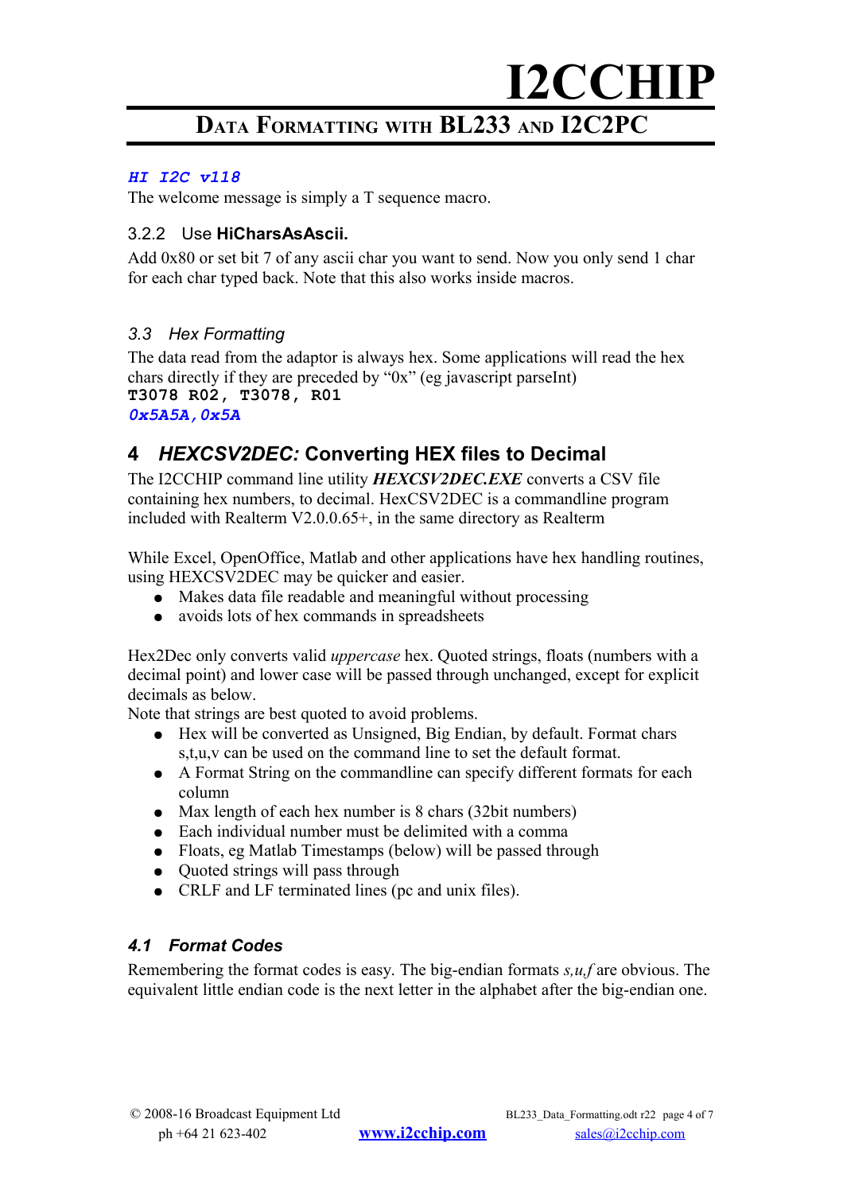## **DATA FORMATTING WITH BL233 AND I2C2PC**

#### *HI I2C v118*

The welcome message is simply a T sequence macro.

#### <span id="page-3-3"></span>3.2.2 Use **HiCharsAsAscii.**

Add 0x80 or set bit 7 of any ascii char you want to send. Now you only send 1 char for each char typed back. Note that this also works inside macros.

#### <span id="page-3-2"></span>*3.3 Hex Formatting*

The data read from the adaptor is always hex. Some applications will read the hex chars directly if they are preceded by "0x" (eg javascript parseInt) **T3078 R02, T3078, R01** *0x5A5A,0x5A*

### <span id="page-3-1"></span>**4** *HEXCSV2DEC:* **Converting HEX files to Decimal**

The I2CCHIP command line utility *HEXCSV2DEC.EXE* converts a CSV file containing hex numbers, to decimal. HexCSV2DEC is a commandline program included with Realterm V2.0.0.65+, in the same directory as Realterm

While Excel, OpenOffice, Matlab and other applications have hex handling routines, using HEXCSV2DEC may be quicker and easier.

- Makes data file readable and meaningful without processing
- avoids lots of hex commands in spreadsheets

Hex2Dec only converts valid *uppercase* hex. Quoted strings, floats (numbers with a decimal point) and lower case will be passed through unchanged, except for explicit decimals as below.

Note that strings are best quoted to avoid problems.

- Hex will be converted as Unsigned, Big Endian, by default. Format chars s,t,u,v can be used on the command line to set the default format.
- A Format String on the commandline can specify different formats for each column
- Max length of each hex number is 8 chars (32bit numbers)
- Each individual number must be delimited with a comma
- Floats, eg Matlab Timestamps (below) will be passed through
- Quoted strings will pass through
- CRLF and LF terminated lines (pc and unix files).

#### <span id="page-3-0"></span>*4.1 Format Codes*

Remembering the format codes is easy. The big-endian formats *s,u,f* are obvious. The equivalent little endian code is the next letter in the alphabet after the big-endian one.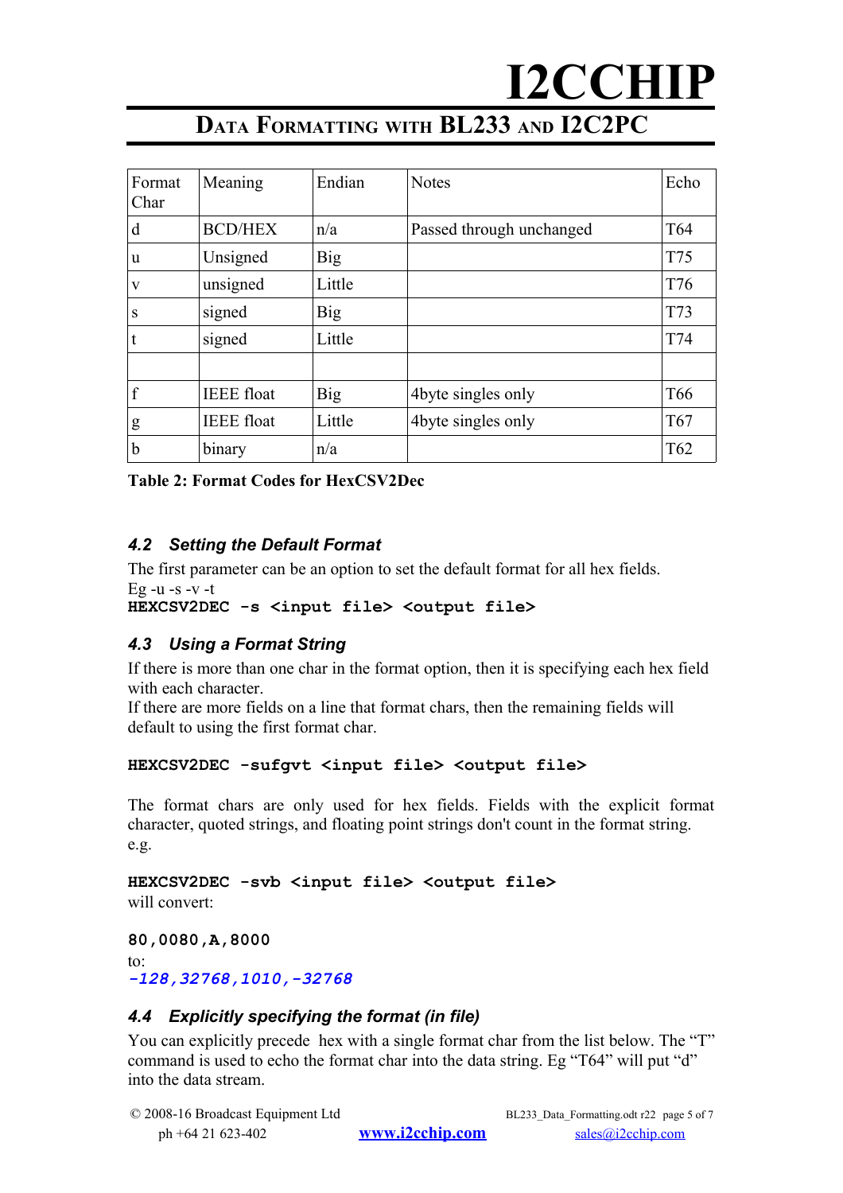# **DATA FORMATTING WITH BL233 AND I2C2PC**

| Format<br>Char | Meaning           | Endian     | <b>Notes</b>             | Echo            |
|----------------|-------------------|------------|--------------------------|-----------------|
| d              | <b>BCD/HEX</b>    | n/a        | Passed through unchanged | T <sub>64</sub> |
| u              | Unsigned          | <b>Big</b> |                          | T75             |
| V              | unsigned          | Little     |                          | T76             |
| S              | signed            | <b>Big</b> |                          | T73             |
|                | signed            | Little     |                          | T74             |
|                |                   |            |                          |                 |
| f              | <b>IEEE</b> float | <b>Big</b> | 4byte singles only       | T <sub>66</sub> |
| g              | <b>IEEE</b> float | Little     | 4byte singles only       | T <sub>67</sub> |
| b              | binary            | n/a        |                          | T <sub>62</sub> |

**Table 2: Format Codes for HexCSV2Dec**

#### <span id="page-4-2"></span>*4.2 Setting the Default Format*

The first parameter can be an option to set the default format for all hex fields. Eg -u -s -v -t

#### **HEXCSV2DEC -s <input file> <output file>**

#### <span id="page-4-1"></span>*4.3 Using a Format String*

If there is more than one char in the format option, then it is specifying each hex field with each character.

If there are more fields on a line that format chars, then the remaining fields will default to using the first format char.

#### **HEXCSV2DEC -sufgvt <input file> <output file>**

The format chars are only used for hex fields. Fields with the explicit format character, quoted strings, and floating point strings don't count in the format string. e.g.

**HEXCSV2DEC -svb <input file> <output file>** will convert:

**80,0080,A,8000** to: *-128,32768,1010,-32768*

#### <span id="page-4-0"></span>*4.4 Explicitly specifying the format (in file)*

You can explicitly precede hex with a single format char from the list below. The "T" command is used to echo the format char into the data string. Eg "T64" will put "d" into the data stream.

```
© 2008-16 Broadcast Equipment Ltd BL233 Data Formatting.odt r22 page 5 of 7
   ph +64 21 623-402 www.i2cchip.com sales@i2cchip.com
```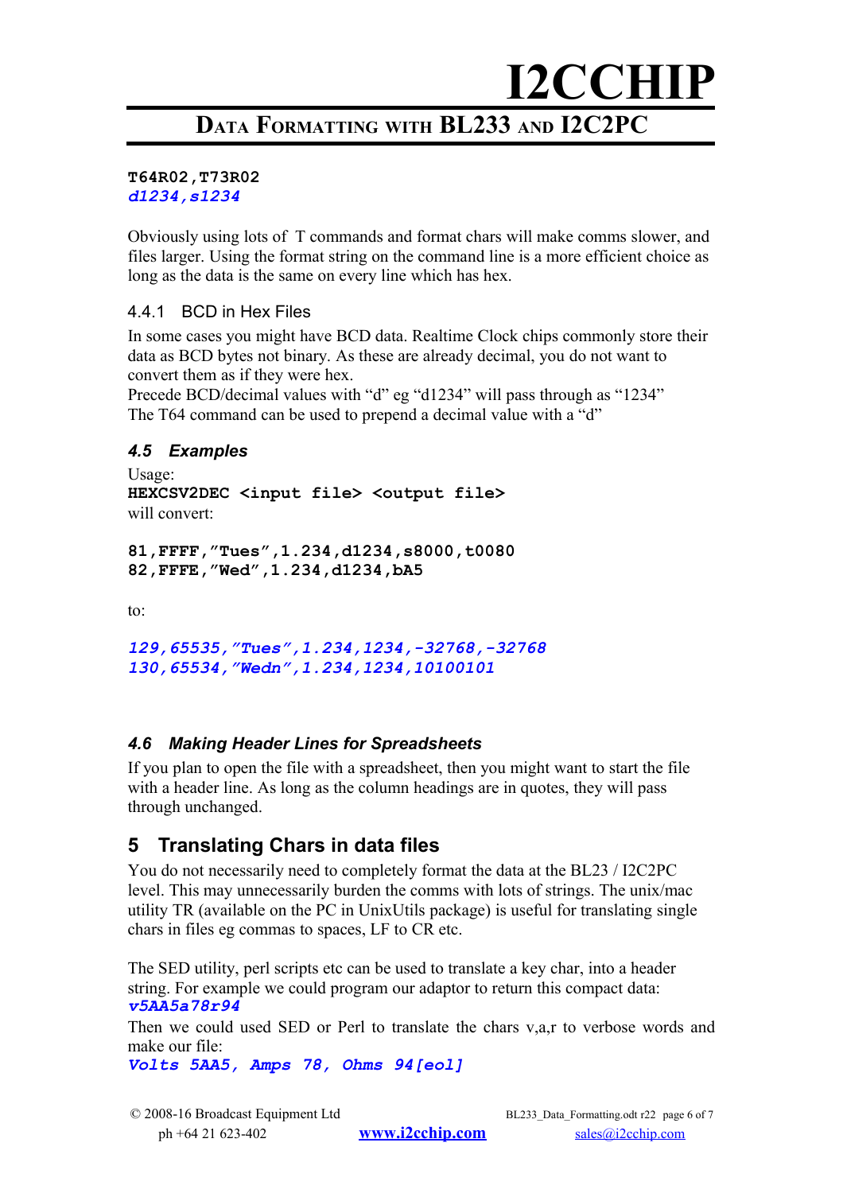## **DATA FORMATTING WITH BL233 AND I2C2PC**

#### **T64R02,T73R02** *d1234,s1234*

Obviously using lots of T commands and format chars will make comms slower, and files larger. Using the format string on the command line is a more efficient choice as long as the data is the same on every line which has hex.

#### <span id="page-5-3"></span>4.4.1 BCD in Hex Files

In some cases you might have BCD data. Realtime Clock chips commonly store their data as BCD bytes not binary. As these are already decimal, you do not want to convert them as if they were hex.

Precede BCD/decimal values with "d" eg "d1234" will pass through as "1234" The T64 command can be used to prepend a decimal value with a "d"

#### <span id="page-5-2"></span>*4.5 Examples*

Usage: **HEXCSV2DEC <input file> <output file>** will convert:

```
81,FFFF,"Tues",1.234,d1234,s8000,t0080
82,FFFE,"Wed",1.234,d1234,bA5
```
to:

*129,65535,"Tues",1.234,1234,-32768,-32768 130,65534,"Wedn",1.234,1234,10100101*

#### <span id="page-5-1"></span>*4.6 Making Header Lines for Spreadsheets*

If you plan to open the file with a spreadsheet, then you might want to start the file with a header line. As long as the column headings are in quotes, they will pass through unchanged.

### <span id="page-5-0"></span>**5 Translating Chars in data files**

You do not necessarily need to completely format the data at the BL23 / I2C2PC level. This may unnecessarily burden the comms with lots of strings. The unix/mac utility TR (available on the PC in UnixUtils package) is useful for translating single chars in files eg commas to spaces, LF to CR etc.

The SED utility, perl scripts etc can be used to translate a key char, into a header string. For example we could program our adaptor to return this compact data: *v5AA5a78r94*

Then we could used SED or Perl to translate the chars v,a,r to verbose words and make our file:

*Volts 5AA5, Amps 78, Ohms 94[eol]*